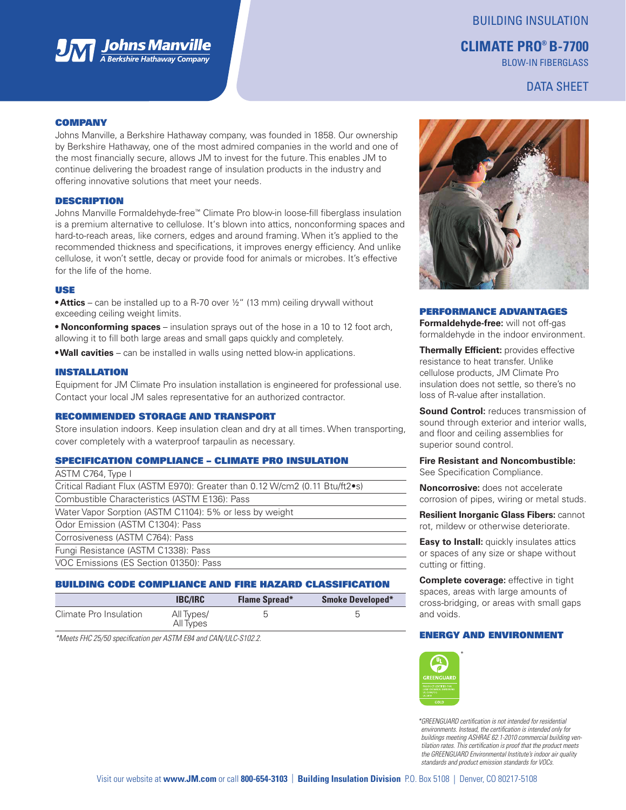

## BUILDING INSULATION

# **CLIMATE PRO® B-7700**

BLOW-IN FIBERGLASS

## DATA SHEET

#### **COMPANY**

Johns Manville, a Berkshire Hathaway company, was founded in 1858. Our ownership by Berkshire Hathaway, one of the most admired companies in the world and one of the most financially secure, allows JM to invest for the future. This enables JM to continue delivering the broadest range of insulation products in the industry and offering innovative solutions that meet your needs.

#### DESCRIPTION

Johns Manville Formaldehyde-free™ Climate Pro blow-in loose-fill fiberglass insulation is a premium alternative to cellulose. It's blown into attics, nonconforming spaces and hard-to-reach areas, like corners, edges and around framing. When it's applied to the recommended thickness and specifications, it improves energy efficiency. And unlike cellulose, it won't settle, decay or provide food for animals or microbes. It's effective for the life of the home.

### USE

**• Attics** – can be installed up to a R-70 over ½" (13 mm) ceiling drywall without exceeding ceiling weight limits.

**• Nonconforming spaces** – insulation sprays out of the hose in a 10 to 12 foot arch, allowing it to fill both large areas and small gaps quickly and completely.

**• Wall cavities** – can be installed in walls using netted blow-in applications.

#### INSTALLATION

Equipment for JM Climate Pro insulation installation is engineered for professional use. Contact your local JM sales representative for an authorized contractor.

#### RECOMMENDED STORAGE AND TRANSPORT

Store insulation indoors. Keep insulation clean and dry at all times. When transporting, cover completely with a waterproof tarpaulin as necessary.

#### SPECIFICATION COMPLIANCE – CLIMATE PRO INSULATION

| ASTM C764, Type I                                                           |
|-----------------------------------------------------------------------------|
| Critical Radiant Flux (ASTM E970): Greater than 0.12 W/cm2 (0.11 Btu/ft2•s) |
| Combustible Characteristics (ASTM E136): Pass                               |
| Water Vapor Sorption (ASTM C1104): 5% or less by weight                     |
| Odor Emission (ASTM C1304): Pass                                            |
| Corrosiveness (ASTM C764): Pass                                             |
| Fungi Resistance (ASTM C1338): Pass                                         |
| VOC Emissions (ES Section 01350): Pass                                      |
|                                                                             |

### BUILDING CODE COMPLIANCE AND FIRE HAZARD CLASSIFICATION

|                        | <b>IBC/IRC</b>          | <b>Flame Spread*</b> | <b>Smoke Developed*</b> |
|------------------------|-------------------------|----------------------|-------------------------|
| Climate Pro Insulation | All Types/<br>All Types |                      |                         |

*\*Meets FHC 25/50 specification per ASTM E84 and CAN/ULC-S102.2.*



#### PERFORMANCE ADVANTAGES

**Formaldehyde-free:** will not off-gas formaldehyde in the indoor environment.

**Thermally Efficient:** provides effective resistance to heat transfer. Unlike cellulose products, JM Climate Pro insulation does not settle, so there's no loss of R-value after installation.

**Sound Control:** reduces transmission of sound through exterior and interior walls, and floor and ceiling assemblies for superior sound control.

#### **Fire Resistant and Noncombustible:** See Specification Compliance.

**Noncorrosive:** does not accelerate corrosion of pipes, wiring or metal studs.

**Resilient Inorganic Glass Fibers:** cannot rot, mildew or otherwise deteriorate.

**Easy to Install:** quickly insulates attics or spaces of any size or shape without cutting or fitting.

**Complete coverage:** effective in tight spaces, areas with large amounts of cross-bridging, or areas with small gaps and voids.

### ENERGY AND ENVIRONMENT



*\*GREENGUARD certification is not intended for residential environments. Instead, the certification is intended only for buildings meeting ASHRAE 62.1-2010 commercial building ventilation rates. This certification is proof that the product meets the GREENGUARD Environmental Institute's indoor air quality standards and product emission standards for VOCs.*